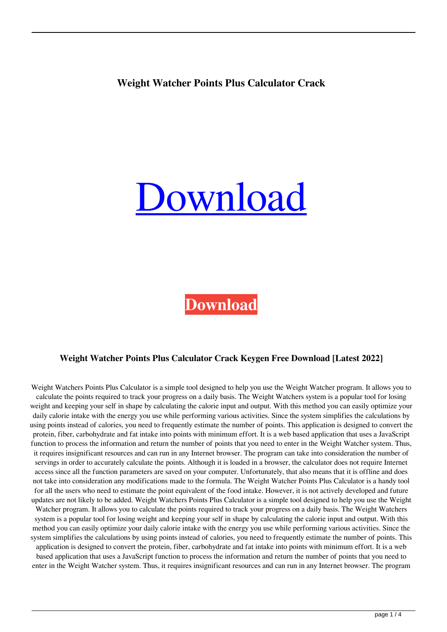## **Weight Watcher Points Plus Calculator Crack**

# **Jownload**

**[Download](http://evacdir.com/iloveyou/V2VpZ2h0IFdhdGNoZXIgUG9pbnRzIFBsdXMgQ2FsY3VsYXRvcgV2V/?fjords=erosive.lighweight.ZG93bmxvYWR8ZjdXTTJoaFpYeDhNVFkxTkRRek5qWTFPSHg4TWpVNU1IeDhLRTBwSUZkdmNtUndjbVZ6Y3lCYldFMU1VbEJESUZZeUlGQkVSbDA)**

### **Weight Watcher Points Plus Calculator Crack Keygen Free Download [Latest 2022]**

Weight Watchers Points Plus Calculator is a simple tool designed to help you use the Weight Watcher program. It allows you to calculate the points required to track your progress on a daily basis. The Weight Watchers system is a popular tool for losing weight and keeping your self in shape by calculating the calorie input and output. With this method you can easily optimize your daily calorie intake with the energy you use while performing various activities. Since the system simplifies the calculations by using points instead of calories, you need to frequently estimate the number of points. This application is designed to convert the protein, fiber, carbohydrate and fat intake into points with minimum effort. It is a web based application that uses a JavaScript function to process the information and return the number of points that you need to enter in the Weight Watcher system. Thus, it requires insignificant resources and can run in any Internet browser. The program can take into consideration the number of servings in order to accurately calculate the points. Although it is loaded in a browser, the calculator does not require Internet access since all the function parameters are saved on your computer. Unfortunately, that also means that it is offline and does not take into consideration any modifications made to the formula. The Weight Watcher Points Plus Calculator is a handy tool for all the users who need to estimate the point equivalent of the food intake. However, it is not actively developed and future updates are not likely to be added. Weight Watchers Points Plus Calculator is a simple tool designed to help you use the Weight Watcher program. It allows you to calculate the points required to track your progress on a daily basis. The Weight Watchers system is a popular tool for losing weight and keeping your self in shape by calculating the calorie input and output. With this method you can easily optimize your daily calorie intake with the energy you use while performing various activities. Since the system simplifies the calculations by using points instead of calories, you need to frequently estimate the number of points. This application is designed to convert the protein, fiber, carbohydrate and fat intake into points with minimum effort. It is a web based application that uses a JavaScript function to process the information and return the number of points that you need to enter in the Weight Watcher system. Thus, it requires insignificant resources and can run in any Internet browser. The program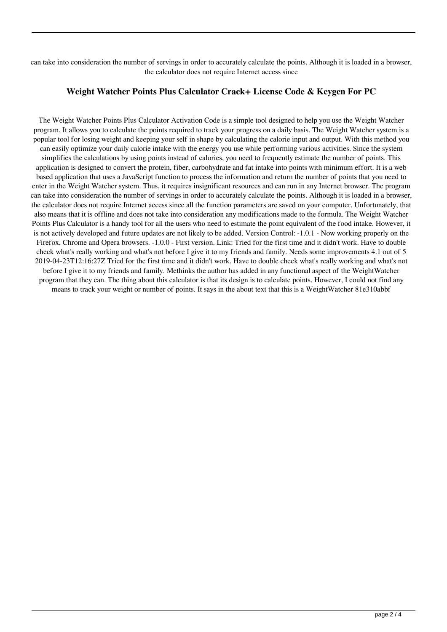can take into consideration the number of servings in order to accurately calculate the points. Although it is loaded in a browser, the calculator does not require Internet access since

#### **Weight Watcher Points Plus Calculator Crack+ License Code & Keygen For PC**

The Weight Watcher Points Plus Calculator Activation Code is a simple tool designed to help you use the Weight Watcher program. It allows you to calculate the points required to track your progress on a daily basis. The Weight Watcher system is a popular tool for losing weight and keeping your self in shape by calculating the calorie input and output. With this method you can easily optimize your daily calorie intake with the energy you use while performing various activities. Since the system simplifies the calculations by using points instead of calories, you need to frequently estimate the number of points. This application is designed to convert the protein, fiber, carbohydrate and fat intake into points with minimum effort. It is a web based application that uses a JavaScript function to process the information and return the number of points that you need to enter in the Weight Watcher system. Thus, it requires insignificant resources and can run in any Internet browser. The program can take into consideration the number of servings in order to accurately calculate the points. Although it is loaded in a browser, the calculator does not require Internet access since all the function parameters are saved on your computer. Unfortunately, that also means that it is offline and does not take into consideration any modifications made to the formula. The Weight Watcher Points Plus Calculator is a handy tool for all the users who need to estimate the point equivalent of the food intake. However, it is not actively developed and future updates are not likely to be added. Version Control: -1.0.1 - Now working properly on the Firefox, Chrome and Opera browsers. -1.0.0 - First version. Link: Tried for the first time and it didn't work. Have to double check what's really working and what's not before I give it to my friends and family. Needs some improvements 4.1 out of 5 2019-04-23T12:16:27Z Tried for the first time and it didn't work. Have to double check what's really working and what's not before I give it to my friends and family. Methinks the author has added in any functional aspect of the WeightWatcher program that they can. The thing about this calculator is that its design is to calculate points. However, I could not find any means to track your weight or number of points. It says in the about text that this is a WeightWatcher 81e310abbf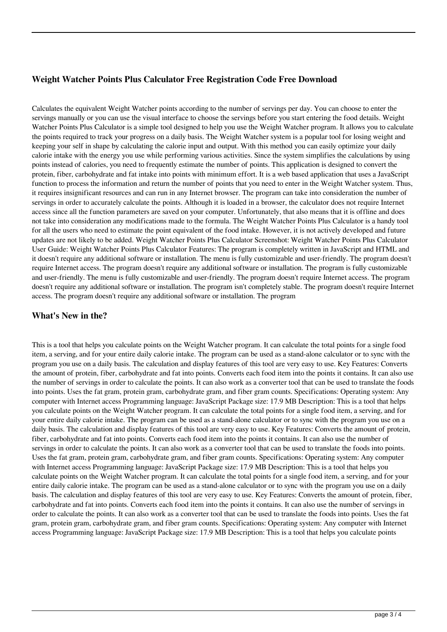## **Weight Watcher Points Plus Calculator Free Registration Code Free Download**

Calculates the equivalent Weight Watcher points according to the number of servings per day. You can choose to enter the servings manually or you can use the visual interface to choose the servings before you start entering the food details. Weight Watcher Points Plus Calculator is a simple tool designed to help you use the Weight Watcher program. It allows you to calculate the points required to track your progress on a daily basis. The Weight Watcher system is a popular tool for losing weight and keeping your self in shape by calculating the calorie input and output. With this method you can easily optimize your daily calorie intake with the energy you use while performing various activities. Since the system simplifies the calculations by using points instead of calories, you need to frequently estimate the number of points. This application is designed to convert the protein, fiber, carbohydrate and fat intake into points with minimum effort. It is a web based application that uses a JavaScript function to process the information and return the number of points that you need to enter in the Weight Watcher system. Thus, it requires insignificant resources and can run in any Internet browser. The program can take into consideration the number of servings in order to accurately calculate the points. Although it is loaded in a browser, the calculator does not require Internet access since all the function parameters are saved on your computer. Unfortunately, that also means that it is offline and does not take into consideration any modifications made to the formula. The Weight Watcher Points Plus Calculator is a handy tool for all the users who need to estimate the point equivalent of the food intake. However, it is not actively developed and future updates are not likely to be added. Weight Watcher Points Plus Calculator Screenshot: Weight Watcher Points Plus Calculator User Guide: Weight Watcher Points Plus Calculator Features: The program is completely written in JavaScript and HTML and it doesn't require any additional software or installation. The menu is fully customizable and user-friendly. The program doesn't require Internet access. The program doesn't require any additional software or installation. The program is fully customizable and user-friendly. The menu is fully customizable and user-friendly. The program doesn't require Internet access. The program doesn't require any additional software or installation. The program isn't completely stable. The program doesn't require Internet access. The program doesn't require any additional software or installation. The program

#### **What's New in the?**

This is a tool that helps you calculate points on the Weight Watcher program. It can calculate the total points for a single food item, a serving, and for your entire daily calorie intake. The program can be used as a stand-alone calculator or to sync with the program you use on a daily basis. The calculation and display features of this tool are very easy to use. Key Features: Converts the amount of protein, fiber, carbohydrate and fat into points. Converts each food item into the points it contains. It can also use the number of servings in order to calculate the points. It can also work as a converter tool that can be used to translate the foods into points. Uses the fat gram, protein gram, carbohydrate gram, and fiber gram counts. Specifications: Operating system: Any computer with Internet access Programming language: JavaScript Package size: 17.9 MB Description: This is a tool that helps you calculate points on the Weight Watcher program. It can calculate the total points for a single food item, a serving, and for your entire daily calorie intake. The program can be used as a stand-alone calculator or to sync with the program you use on a daily basis. The calculation and display features of this tool are very easy to use. Key Features: Converts the amount of protein, fiber, carbohydrate and fat into points. Converts each food item into the points it contains. It can also use the number of servings in order to calculate the points. It can also work as a converter tool that can be used to translate the foods into points. Uses the fat gram, protein gram, carbohydrate gram, and fiber gram counts. Specifications: Operating system: Any computer with Internet access Programming language: JavaScript Package size: 17.9 MB Description: This is a tool that helps you calculate points on the Weight Watcher program. It can calculate the total points for a single food item, a serving, and for your entire daily calorie intake. The program can be used as a stand-alone calculator or to sync with the program you use on a daily basis. The calculation and display features of this tool are very easy to use. Key Features: Converts the amount of protein, fiber, carbohydrate and fat into points. Converts each food item into the points it contains. It can also use the number of servings in order to calculate the points. It can also work as a converter tool that can be used to translate the foods into points. Uses the fat gram, protein gram, carbohydrate gram, and fiber gram counts. Specifications: Operating system: Any computer with Internet access Programming language: JavaScript Package size: 17.9 MB Description: This is a tool that helps you calculate points